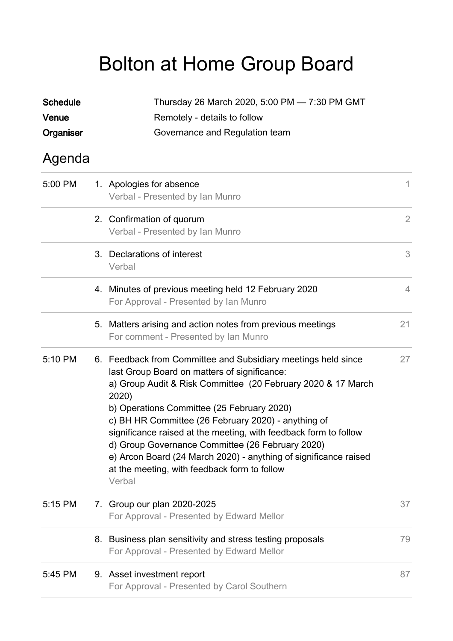## Bolton at Home Group Board

| <b>Schedule</b> | Thursday 26 March 2020, 5:00 PM - 7:30 PM GMT                                                                                                                                                                                                                                                                                                                                                                                                                                                                                                     |                |  |
|-----------------|---------------------------------------------------------------------------------------------------------------------------------------------------------------------------------------------------------------------------------------------------------------------------------------------------------------------------------------------------------------------------------------------------------------------------------------------------------------------------------------------------------------------------------------------------|----------------|--|
| Venue           | Remotely - details to follow                                                                                                                                                                                                                                                                                                                                                                                                                                                                                                                      |                |  |
| Organiser       | Governance and Regulation team                                                                                                                                                                                                                                                                                                                                                                                                                                                                                                                    |                |  |
| Agenda          |                                                                                                                                                                                                                                                                                                                                                                                                                                                                                                                                                   |                |  |
| 5:00 PM         | 1. Apologies for absence<br>Verbal - Presented by Ian Munro                                                                                                                                                                                                                                                                                                                                                                                                                                                                                       | 1              |  |
|                 | 2. Confirmation of quorum<br>Verbal - Presented by Ian Munro                                                                                                                                                                                                                                                                                                                                                                                                                                                                                      | $\overline{2}$ |  |
|                 | 3. Declarations of interest<br>Verbal                                                                                                                                                                                                                                                                                                                                                                                                                                                                                                             | 3              |  |
|                 | 4. Minutes of previous meeting held 12 February 2020<br>For Approval - Presented by Ian Munro                                                                                                                                                                                                                                                                                                                                                                                                                                                     | $\overline{4}$ |  |
|                 | 5. Matters arising and action notes from previous meetings<br>For comment - Presented by Ian Munro                                                                                                                                                                                                                                                                                                                                                                                                                                                | 21             |  |
| 5:10 PM         | 6. Feedback from Committee and Subsidiary meetings held since<br>last Group Board on matters of significance:<br>a) Group Audit & Risk Committee (20 February 2020 & 17 March<br>2020)<br>b) Operations Committee (25 February 2020)<br>c) BH HR Committee (26 February 2020) - anything of<br>significance raised at the meeting, with feedback form to follow<br>d) Group Governance Committee (26 February 2020)<br>e) Arcon Board (24 March 2020) - anything of significance raised<br>at the meeting, with feedback form to follow<br>Verbal | 27             |  |
| 5:15 PM         | 7. Group our plan 2020-2025<br>For Approval - Presented by Edward Mellor                                                                                                                                                                                                                                                                                                                                                                                                                                                                          | 37             |  |
|                 | 8. Business plan sensitivity and stress testing proposals<br>For Approval - Presented by Edward Mellor                                                                                                                                                                                                                                                                                                                                                                                                                                            | 79             |  |
| 5:45 PM         | 9. Asset investment report<br>For Approval - Presented by Carol Southern                                                                                                                                                                                                                                                                                                                                                                                                                                                                          | 87             |  |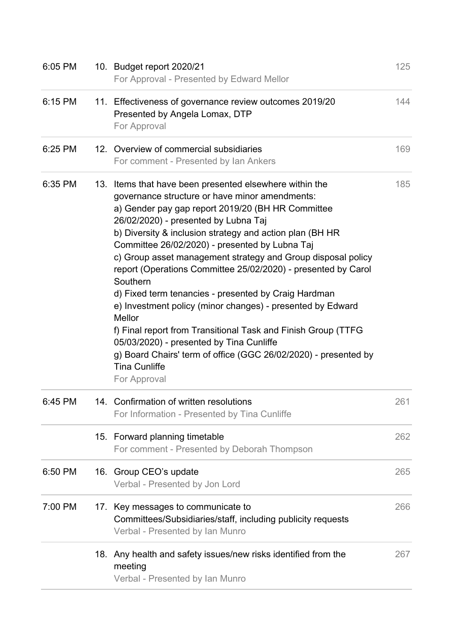| 6:05 PM | 10. Budget report 2020/21<br>For Approval - Presented by Edward Mellor                                                                                                                                                                                                                                                                                                                                                                                                                                                                                                                                                                                                                                                                                                                                                    | 125 |
|---------|---------------------------------------------------------------------------------------------------------------------------------------------------------------------------------------------------------------------------------------------------------------------------------------------------------------------------------------------------------------------------------------------------------------------------------------------------------------------------------------------------------------------------------------------------------------------------------------------------------------------------------------------------------------------------------------------------------------------------------------------------------------------------------------------------------------------------|-----|
| 6:15 PM | 11. Effectiveness of governance review outcomes 2019/20<br>Presented by Angela Lomax, DTP<br>For Approval                                                                                                                                                                                                                                                                                                                                                                                                                                                                                                                                                                                                                                                                                                                 | 144 |
| 6:25 PM | 12. Overview of commercial subsidiaries<br>For comment - Presented by Ian Ankers                                                                                                                                                                                                                                                                                                                                                                                                                                                                                                                                                                                                                                                                                                                                          | 169 |
| 6:35 PM | 13. Items that have been presented elsewhere within the<br>governance structure or have minor amendments:<br>a) Gender pay gap report 2019/20 (BH HR Committee<br>26/02/2020) - presented by Lubna Taj<br>b) Diversity & inclusion strategy and action plan (BH HR<br>Committee 26/02/2020) - presented by Lubna Taj<br>c) Group asset management strategy and Group disposal policy<br>report (Operations Committee 25/02/2020) - presented by Carol<br>Southern<br>d) Fixed term tenancies - presented by Craig Hardman<br>e) Investment policy (minor changes) - presented by Edward<br>Mellor<br>f) Final report from Transitional Task and Finish Group (TTFG<br>05/03/2020) - presented by Tina Cunliffe<br>g) Board Chairs' term of office (GGC 26/02/2020) - presented by<br><b>Tina Cunliffe</b><br>For Approval | 185 |
| 6:45 PM | 14. Confirmation of written resolutions<br>For Information - Presented by Tina Cunliffe                                                                                                                                                                                                                                                                                                                                                                                                                                                                                                                                                                                                                                                                                                                                   | 261 |
|         | 15. Forward planning timetable<br>For comment - Presented by Deborah Thompson                                                                                                                                                                                                                                                                                                                                                                                                                                                                                                                                                                                                                                                                                                                                             | 262 |
| 6:50 PM | 16. Group CEO's update<br>Verbal - Presented by Jon Lord                                                                                                                                                                                                                                                                                                                                                                                                                                                                                                                                                                                                                                                                                                                                                                  | 265 |
| 7:00 PM | 17. Key messages to communicate to<br>Committees/Subsidiaries/staff, including publicity requests<br>Verbal - Presented by Ian Munro                                                                                                                                                                                                                                                                                                                                                                                                                                                                                                                                                                                                                                                                                      | 266 |
|         | 18. Any health and safety issues/new risks identified from the<br>meeting<br>Verbal - Presented by Ian Munro                                                                                                                                                                                                                                                                                                                                                                                                                                                                                                                                                                                                                                                                                                              | 267 |